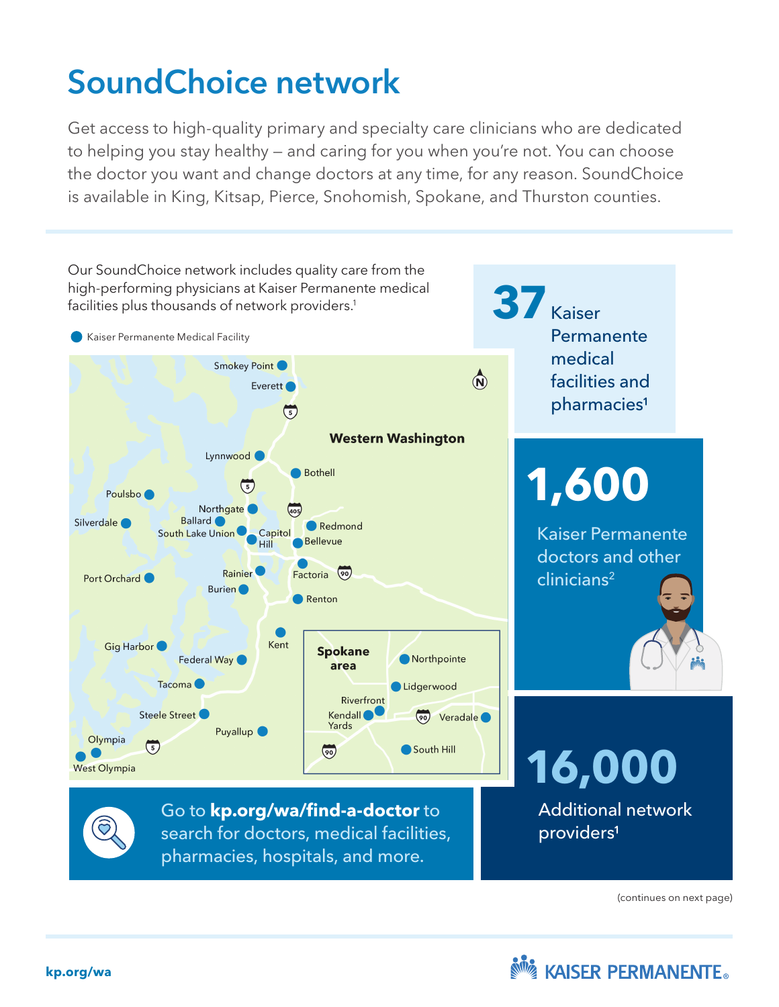# SoundChoice network

Get access to high-quality primary and specialty care clinicians who are dedicated to helping you stay healthy — and caring for you when you're not. You can choose the doctor you want and change doctors at any time, for any reason. SoundChoice is available in King, Kitsap, Pierce, Snohomish, Spokane, and Thurston counties.



(continues on next page)